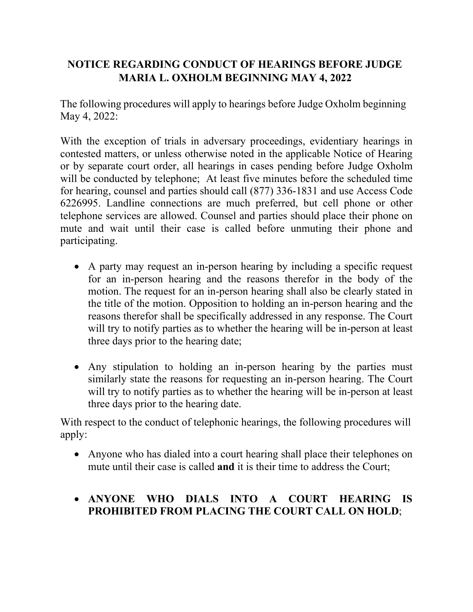## **NOTICE REGARDING CONDUCT OF HEARINGS BEFORE JUDGE MARIA L. OXHOLM BEGINNING MAY 4, 2022**

The following procedures will apply to hearings before Judge Oxholm beginning May 4, 2022:

With the exception of trials in adversary proceedings, evidentiary hearings in contested matters, or unless otherwise noted in the applicable Notice of Hearing or by separate court order, all hearings in cases pending before Judge Oxholm will be conducted by telephone; At least five minutes before the scheduled time for hearing, counsel and parties should call (877) 336-1831 and use Access Code 6226995. Landline connections are much preferred, but cell phone or other telephone services are allowed. Counsel and parties should place their phone on mute and wait until their case is called before unmuting their phone and participating.

- A party may request an in-person hearing by including a specific request for an in-person hearing and the reasons therefor in the body of the motion. The request for an in-person hearing shall also be clearly stated in the title of the motion. Opposition to holding an in-person hearing and the reasons therefor shall be specifically addressed in any response. The Court will try to notify parties as to whether the hearing will be in-person at least three days prior to the hearing date;
- Any stipulation to holding an in-person hearing by the parties must similarly state the reasons for requesting an in-person hearing. The Court will try to notify parties as to whether the hearing will be in-person at least three days prior to the hearing date.

With respect to the conduct of telephonic hearings, the following procedures will apply:

• Anyone who has dialed into a court hearing shall place their telephones on mute until their case is called **and** it is their time to address the Court;

## • **ANYONE WHO DIALS INTO A COURT HEARING IS PROHIBITED FROM PLACING THE COURT CALL ON HOLD**;